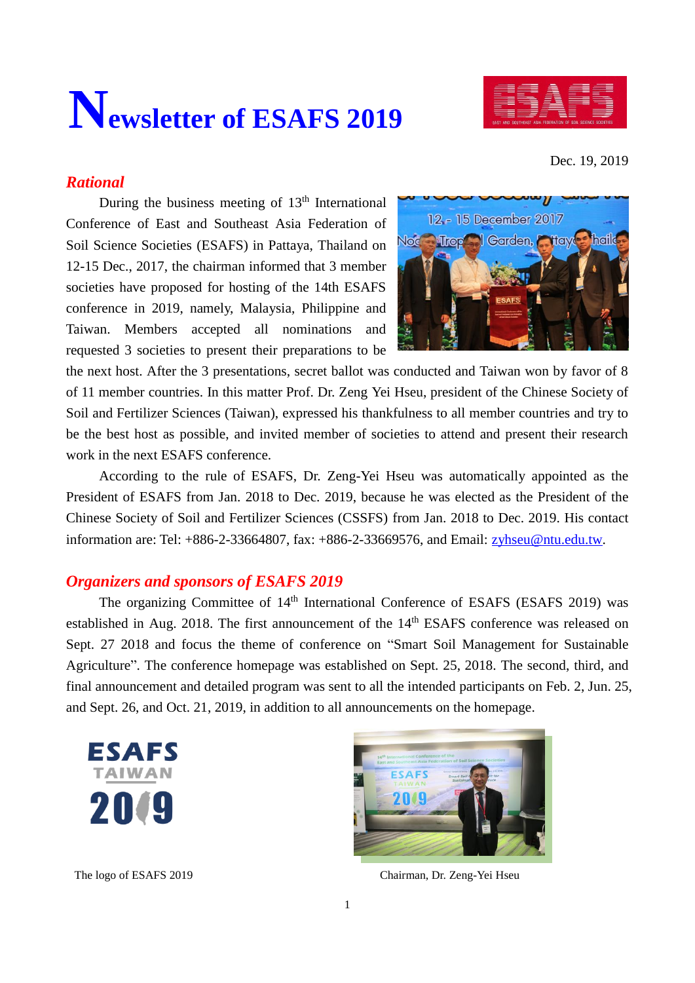# **Newsletter of ESAFS 2019**



Dec. 19, 2019

## *Rational*

During the business meeting of  $13<sup>th</sup>$  International Conference of East and Southeast Asia Federation of Soil Science Societies (ESAFS) in Pattaya, Thailand on 12-15 Dec., 2017, the chairman informed that 3 member societies have proposed for hosting of the 14th ESAFS conference in 2019, namely, Malaysia, Philippine and Taiwan. Members accepted all nominations and requested 3 societies to present their preparations to be



the next host. After the 3 presentations, secret ballot was conducted and Taiwan won by favor of 8 of 11 member countries. In this matter Prof. Dr. Zeng Yei Hseu, president of the Chinese Society of Soil and Fertilizer Sciences (Taiwan), expressed his thankfulness to all member countries and try to be the best host as possible, and invited member of societies to attend and present their research work in the next ESAFS conference.

According to the rule of ESAFS, Dr. Zeng-Yei Hseu was automatically appointed as the President of ESAFS from Jan. 2018 to Dec. 2019, because he was elected as the President of the Chinese Society of Soil and Fertilizer Sciences (CSSFS) from Jan. 2018 to Dec. 2019. His contact information are: Tel: +886-2-33664807, fax: +886-2-33669576, and Email: [zyhseu@ntu.edu.tw.](mailto:zyhseu@ntu.edu.tw)

## *Organizers and sponsors of ESAFS 2019*

The organizing Committee of 14<sup>th</sup> International Conference of ESAFS (ESAFS 2019) was established in Aug. 2018. The first announcement of the 14<sup>th</sup> ESAFS conference was released on Sept. 27 2018 and focus the theme of conference on "Smart Soil Management for Sustainable Agriculture". The conference homepage was established on Sept. 25, 2018. The second, third, and final announcement and detailed program was sent to all the intended participants on Feb. 2, Jun. 25, and Sept. 26, and Oct. 21, 2019, in addition to all announcements on the homepage.





The logo of ESAFS 2019 Chairman, Dr. Zeng-Yei Hseu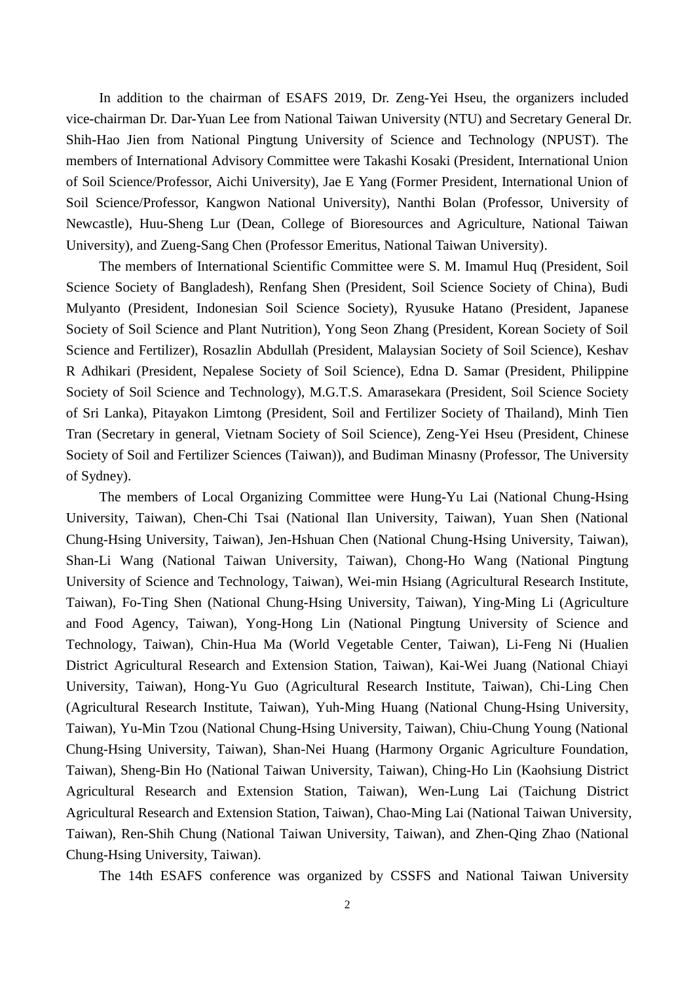In addition to the chairman of ESAFS 2019, Dr. Zeng-Yei Hseu, the organizers included vice-chairman Dr. Dar-Yuan Lee from National Taiwan University (NTU) and Secretary General Dr. Shih-Hao Jien from National Pingtung University of Science and Technology (NPUST). The members of International Advisory Committee were Takashi Kosaki (President, International Union of Soil Science/Professor, Aichi University), Jae E Yang (Former President, International Union of Soil Science/Professor, Kangwon National University), Nanthi Bolan (Professor, University of Newcastle), Huu-Sheng Lur (Dean, College of Bioresources and Agriculture, National Taiwan University), and Zueng-Sang Chen (Professor Emeritus, National Taiwan University).

The members of International Scientific Committee were S. M. Imamul Huq (President, Soil Science Society of Bangladesh), Renfang Shen (President, Soil Science Society of China), Budi Mulyanto (President, Indonesian Soil Science Society), Ryusuke Hatano (President, Japanese Society of Soil Science and Plant Nutrition), Yong Seon Zhang (President, Korean Society of Soil Science and Fertilizer), Rosazlin Abdullah (President, Malaysian Society of Soil Science), Keshav R Adhikari (President, Nepalese Society of Soil Science), Edna D. Samar (President, Philippine Society of Soil Science and Technology), M.G.T.S. Amarasekara (President, Soil Science Society of Sri Lanka), Pitayakon Limtong (President, Soil and Fertilizer Society of Thailand), Minh Tien Tran (Secretary in general, Vietnam Society of Soil Science), Zeng-Yei Hseu (President, Chinese Society of Soil and Fertilizer Sciences (Taiwan)), and Budiman Minasny (Professor, The University of Sydney).

The members of Local Organizing Committee were Hung-Yu Lai (National Chung-Hsing University, Taiwan), Chen-Chi Tsai (National Ilan University, Taiwan), Yuan Shen (National Chung-Hsing University, Taiwan), Jen-Hshuan Chen (National Chung-Hsing University, Taiwan), Shan-Li Wang (National Taiwan University, Taiwan), Chong-Ho Wang (National Pingtung University of Science and Technology, Taiwan), Wei-min Hsiang (Agricultural Research Institute, Taiwan), Fo-Ting Shen (National Chung-Hsing University, Taiwan), Ying-Ming Li (Agriculture and Food Agency, Taiwan), Yong-Hong Lin (National Pingtung University of Science and Technology, Taiwan), Chin-Hua Ma (World Vegetable Center, Taiwan), Li-Feng Ni (Hualien District Agricultural Research and Extension Station, Taiwan), Kai-Wei Juang (National Chiayi University, Taiwan), Hong-Yu Guo (Agricultural Research Institute, Taiwan), Chi-Ling Chen (Agricultural Research Institute, Taiwan), Yuh-Ming Huang (National Chung-Hsing University, Taiwan), Yu-Min Tzou (National Chung-Hsing University, Taiwan), Chiu-Chung Young (National Chung-Hsing University, Taiwan), Shan-Nei Huang (Harmony Organic Agriculture Foundation, Taiwan), Sheng-Bin Ho (National Taiwan University, Taiwan), Ching-Ho Lin (Kaohsiung District Agricultural Research and Extension Station, Taiwan), Wen-Lung Lai (Taichung District Agricultural Research and Extension Station, Taiwan), Chao-Ming Lai (National Taiwan University, Taiwan), Ren-Shih Chung (National Taiwan University, Taiwan), and Zhen-Qing Zhao (National Chung-Hsing University, Taiwan).

The 14th ESAFS conference was organized by CSSFS and National Taiwan University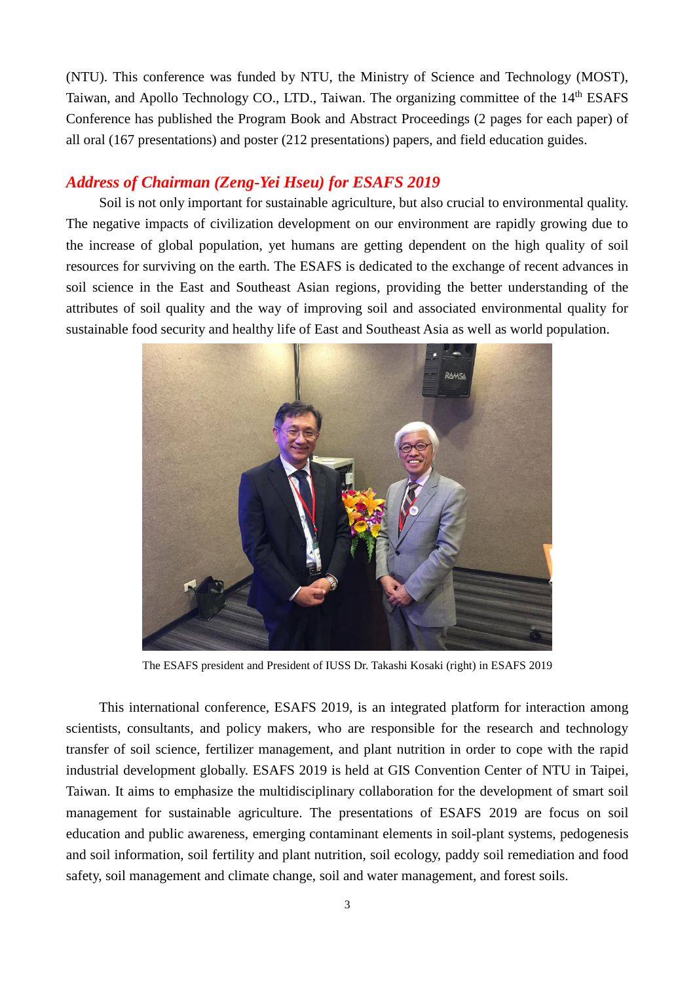(NTU). This conference was funded by NTU, the Ministry of Science and Technology (MOST), Taiwan, and Apollo Technology CO., LTD., Taiwan. The organizing committee of the 14th ESAFS Conference has published the Program Book and Abstract Proceedings (2 pages for each paper) of all oral (167 presentations) and poster (212 presentations) papers, and field education guides.

### *Address of Chairman (Zeng-Yei Hseu) for ESAFS 2019*

Soil is not only important for sustainable agriculture, but also crucial to environmental quality. The negative impacts of civilization development on our environment are rapidly growing due to the increase of global population, yet humans are getting dependent on the high quality of soil resources for surviving on the earth. The ESAFS is dedicated to the exchange of recent advances in soil science in the East and Southeast Asian regions, providing the better understanding of the attributes of soil quality and the way of improving soil and associated environmental quality for sustainable food security and healthy life of East and Southeast Asia as well as world population.



The ESAFS president and President of IUSS Dr. Takashi Kosaki (right) in ESAFS 2019

This international conference, ESAFS 2019, is an integrated platform for interaction among scientists, consultants, and policy makers, who are responsible for the research and technology transfer of soil science, fertilizer management, and plant nutrition in order to cope with the rapid industrial development globally. ESAFS 2019 is held at GIS Convention Center of NTU in Taipei, Taiwan. It aims to emphasize the multidisciplinary collaboration for the development of smart soil management for sustainable agriculture. The presentations of ESAFS 2019 are focus on soil education and public awareness, emerging contaminant elements in soil-plant systems, pedogenesis and soil information, soil fertility and plant nutrition, soil ecology, paddy soil remediation and food safety, soil management and climate change, soil and water management, and forest soils.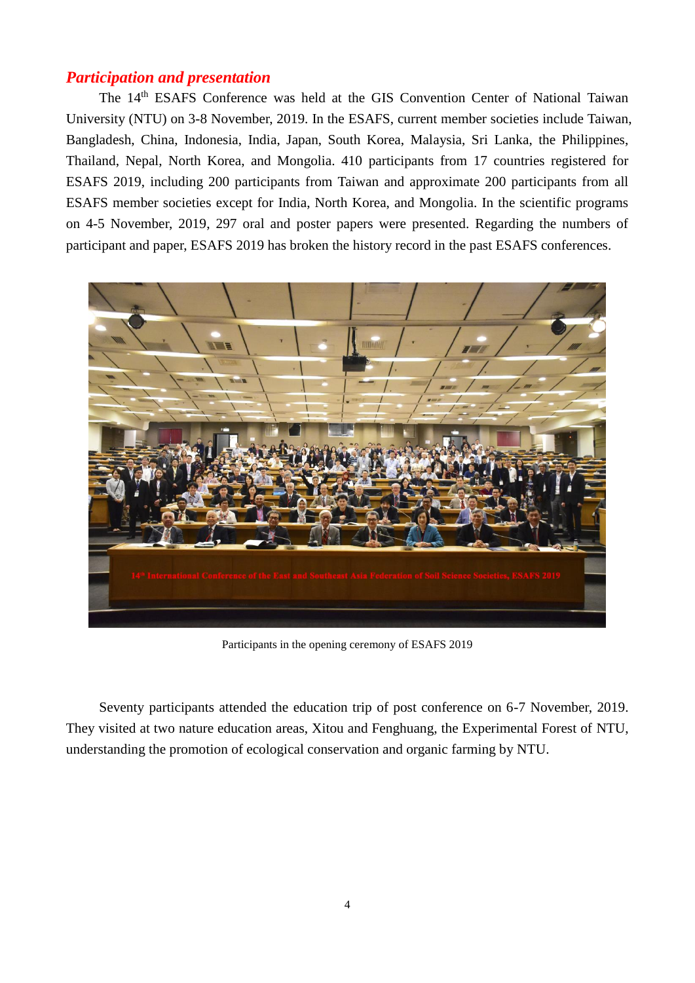## *Participation and presentation*

The 14<sup>th</sup> ESAFS Conference was held at the GIS Convention Center of National Taiwan University (NTU) on 3-8 November, 2019. In the ESAFS, current member societies include Taiwan, Bangladesh, China, Indonesia, India, Japan, South Korea, Malaysia, Sri Lanka, the Philippines, Thailand, Nepal, North Korea, and Mongolia. 410 participants from 17 countries registered for ESAFS 2019, including 200 participants from Taiwan and approximate 200 participants from all ESAFS member societies except for India, North Korea, and Mongolia. In the scientific programs on 4-5 November, 2019, 297 oral and poster papers were presented. Regarding the numbers of participant and paper, ESAFS 2019 has broken the history record in the past ESAFS conferences.



Participants in the opening ceremony of ESAFS 2019

Seventy participants attended the education trip of post conference on 6-7 November, 2019. They visited at two nature education areas, Xitou and Fenghuang, the Experimental Forest of NTU, understanding the promotion of ecological conservation and organic farming by NTU.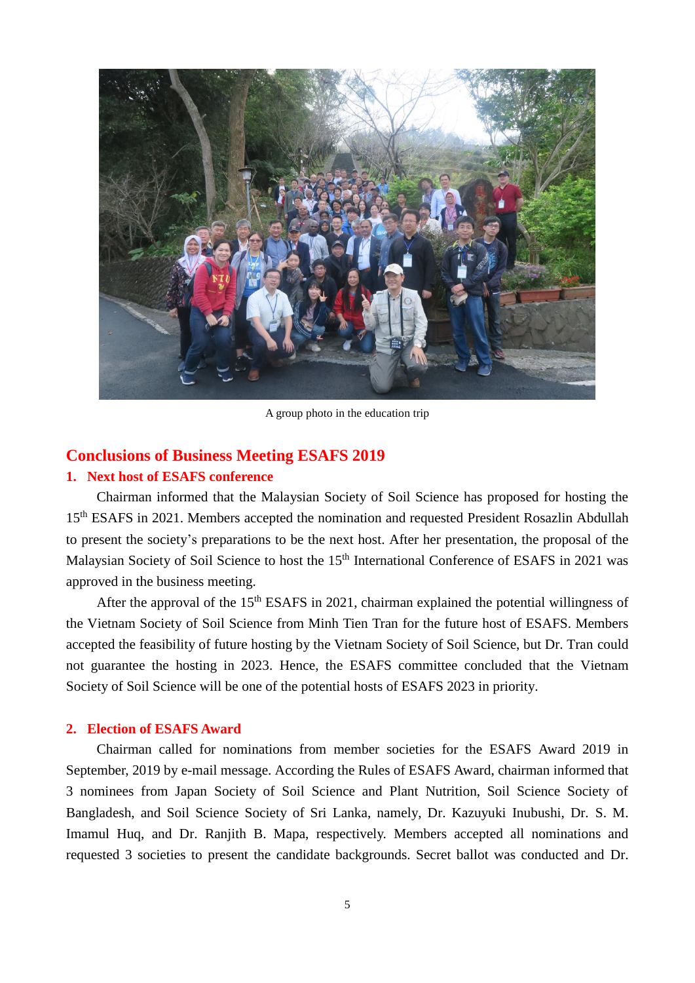

A group photo in the education trip

#### **Conclusions of Business Meeting ESAFS 2019**

#### **1. Next host of ESAFS conference**

Chairman informed that the Malaysian Society of Soil Science has proposed for hosting the 15<sup>th</sup> ESAFS in 2021. Members accepted the nomination and requested President Rosazlin Abdullah to present the society's preparations to be the next host. After her presentation, the proposal of the Malaysian Society of Soil Science to host the 15<sup>th</sup> International Conference of ESAFS in 2021 was approved in the business meeting.

After the approval of the 15<sup>th</sup> ESAFS in 2021, chairman explained the potential willingness of the Vietnam Society of Soil Science from Minh Tien Tran for the future host of ESAFS. Members accepted the feasibility of future hosting by the Vietnam Society of Soil Science, but Dr. Tran could not guarantee the hosting in 2023. Hence, the ESAFS committee concluded that the Vietnam Society of Soil Science will be one of the potential hosts of ESAFS 2023 in priority.

#### **2. Election of ESAFS Award**

Chairman called for nominations from member societies for the ESAFS Award 2019 in September, 2019 by e-mail message. According the Rules of ESAFS Award, chairman informed that 3 nominees from Japan Society of Soil Science and Plant Nutrition, Soil Science Society of Bangladesh, and Soil Science Society of Sri Lanka, namely, Dr. Kazuyuki Inubushi, Dr. S. M. Imamul Huq, and Dr. Ranjith B. Mapa, respectively. Members accepted all nominations and requested 3 societies to present the candidate backgrounds. Secret ballot was conducted and Dr.